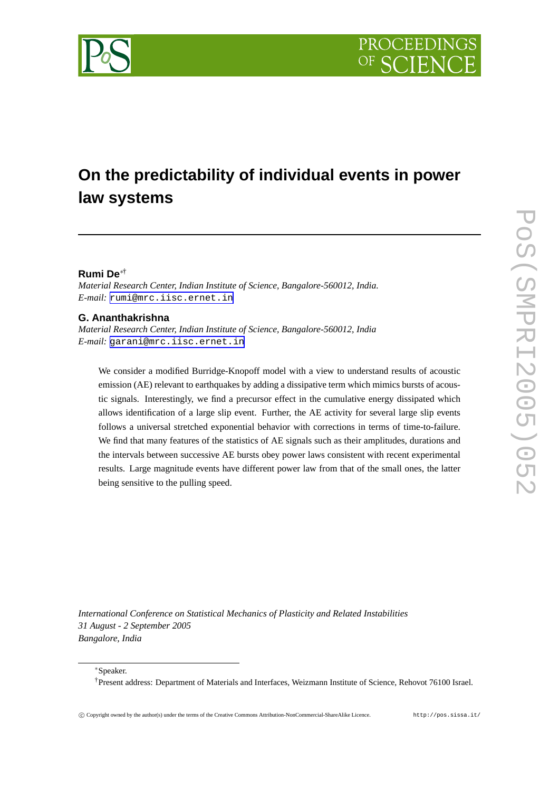

# **On the predictability of individual events in power law systems**

## **Rumi De**∗†

*Material Research Center, Indian Institute of Science, Bangalore-560012, India. E-mail:* [rumi@mrc.iisc.ernet.in](mailto:rumi@mrc.iisc.ernet.in)

## **G. Ananthakrishna**

*Material Research Center, Indian Institute of Science, Bangalore-560012, India E-mail:* [garani@mrc.iisc.ernet.in](mailto:garani@mrc.iisc.ernet.in)

We consider a modified Burridge-Knopoff model with a view to understand results of acoustic emission (AE) relevant to earthquakes by adding a dissipative term which mimics bursts of acoustic signals. Interestingly, we find a precursor effect in the cumulative energy dissipated which allows identification of a large slip event. Further, the AE activity for several large slip events follows a universal stretched exponential behavior with corrections in terms of time-to-failure. We find that many features of the statistics of AE signals such as their amplitudes, durations and the intervals between successive AE bursts obey power laws consistent with recent experimental results. Large magnitude events have different power law from that of the small ones, the latter being sensitive to the pulling speed.

*International Conference on Statistical Mechanics of Plasticity and Related Instabilities 31 August - 2 September 2005 Bangalore, India*

<sup>∗</sup>Speaker.

<sup>†</sup>Present address: Department of Materials and Interfaces, Weizmann Institute of Science, Rehovot 76100 Israel.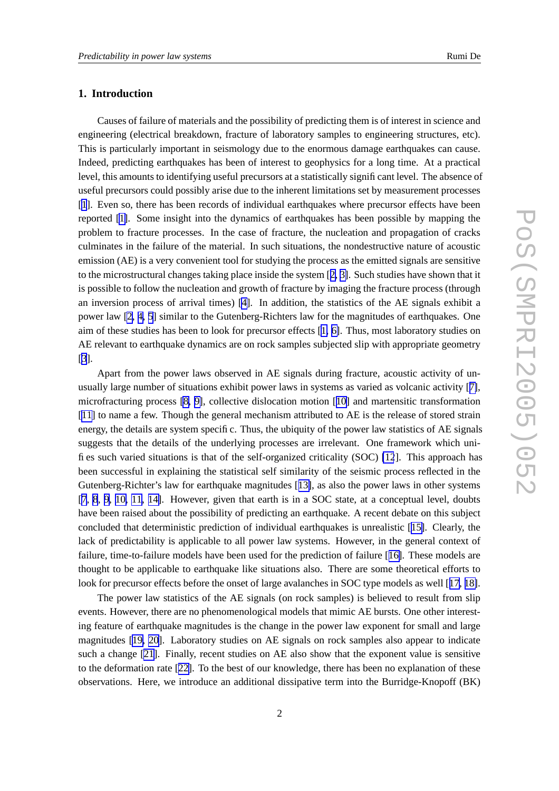## **1. Introduction**

Causes of failure of materials and the possibility of predicting them is of interest in science and engineering (electrical breakdown, fracture of laboratory samples to engineering structures, etc). This is particularly important in seismology due to the enormous damage earthquakes can cause. Indeed, predicting earthquakes has been of interest to geophysics for a long time. At a practical level, this amounts to identifying useful precursors at a statistically significant level. The absence of useful precursors could possibly arise due to the inherent limitations set by measurement processes [[1](#page-7-0)]. Even so, there has been records of individual earthquakes where precursor effects have been reported [\[1\]](#page-7-0). Some insight into the dynamics of earthquakes has been possible by mapping the problem to fracture processes. In the case of fracture, the nucleation and propagation of cracks culminates in the failure of the material. In such situations, the nondestructive nature of acoustic emission (AE) is a very convenient tool for studying the process as the emitted signals are sensitive to the microstructural changes taking place inside the system [[2,](#page-7-0) [3\]](#page-7-0). Such studies have shown that it is possible to follow the nucleation and growth of fracture by imaging the fracture process (through an inversion process of arrival times) [\[4\]](#page-8-0). In addition, the statistics of the AE signals exhibit a power law [\[2,](#page-7-0) [4,](#page-8-0) [5\]](#page-8-0) similar to the Gutenberg-Richters law for the magnitudes of earthquakes. One aim of these studies has been to look for precursor effects [[1,](#page-7-0) [6\]](#page-8-0). Thus, most laboratory studies on AE relevant to earthquake dynamics are on rock samples subjected slip with appropriate geometry [[3](#page-7-0)].

Apart from the power laws observed in AE signals during fracture, acoustic activity of unusually large number of situations exhibit power laws in systems as varied as volcanic activity [[7\]](#page-8-0), microfracturing process [\[8,](#page-8-0) [9\]](#page-8-0), collective dislocation motion [[10\]](#page-8-0) and martensitic transformation [[11\]](#page-8-0) to name a few. Though the general mechanism attributed to AE is the release of stored strain energy, the details are system specific. Thus, the ubiquity of the power law statistics of AE signals suggests that the details of the underlying processes are irrelevant. One framework which unifies such varied situations is that of the self-organized criticality (SOC) [\[12](#page-8-0)]. This approach has been successful in explaining the statistical self similarity of the seismic process reflected in the Gutenberg-Richter's law for earthquake magnitudes [[13\]](#page-8-0), as also the power laws in other systems [[7](#page-8-0), [8](#page-8-0), [9](#page-8-0), [10,](#page-8-0) [11](#page-8-0), [14\]](#page-8-0). However, given that earth is in a SOC state, at a conceptual level, doubts have been raised about the possibility of predicting an earthquake. A recent debate on this subject concluded that deterministic prediction of individual earthquakes is unrealistic [[15\]](#page-8-0). Clearly, the lack of predictability is applicable to all power law systems. However, in the general context of failure, time-to-failure models have been used for the prediction of failure [[16\]](#page-8-0). These models are thought to be applicable to earthquake like situations also. There are some theoretical efforts to look for precursor effects before the onset of large avalanches in SOC type models as well [[17,](#page-8-0) [18\]](#page-8-0).

The power law statistics of the AE signals (on rock samples) is believed to result from slip events. However, there are no phenomenological models that mimic AE bursts. One other interesting feature of earthquake magnitudes is the change in the power law exponent for small and large magnitudes [[19,](#page-8-0) [20](#page-8-0)]. Laboratory studies on AE signals on rock samples also appear to indicate such a change [\[21\]](#page-8-0). Finally, recent studies on AE also show that the exponent value is sensitive to the deformation rate [[22\]](#page-8-0). To the best of our knowledge, there has been no explanation of these observations. Here, we introduce an additional dissipative term into the Burridge-Knopoff (BK)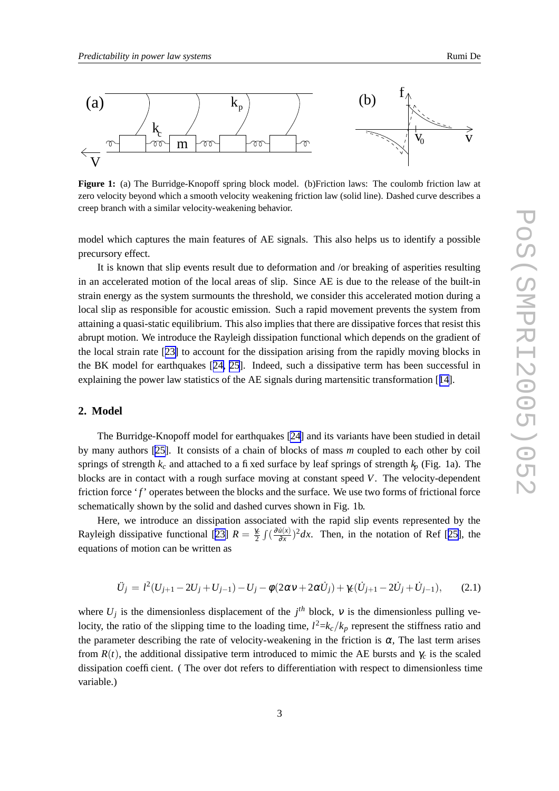

**Figure 1:** (a) The Burridge-Knopoff spring block model. (b)Friction laws: The coulomb friction law at zero velocity beyond which a smooth velocity weakening friction law (solid line). Dashed curve describes a creep branch with a similar velocity-weakening behavior.

model which captures the main features of AE signals. This also helps us to identify a possible precursory effect.

It is known that slip events result due to deformation and /or breaking of asperities resulting in an accelerated motion of the local areas of slip. Since AE is due to the release of the built-in strain energy as the system surmounts the threshold, we consider this accelerated motion during a local slip as responsible for acoustic emission. Such a rapid movement prevents the system from attaining a quasi-static equilibrium. This also implies that there are dissipative forces that resist this abrupt motion. We introduce the Rayleigh dissipation functional which depends on the gradient of the local strain rate [[23\]](#page-8-0) to account for the dissipation arising from the rapidly moving blocks in the BK model for earthquakes [[24,](#page-9-0) [25](#page-9-0)]. Indeed, such a dissipative term has been successful in explaining the power law statistics of the AE signals during martensitic transformation [[14\]](#page-8-0).

#### **2. Model**

The Burridge-Knopoff model for earthquakes [\[24](#page-9-0)] and its variants have been studied in detail by many authors [\[25\]](#page-9-0). It consists of a chain of blocks of mass *m* coupled to each other by coil springs of strength  $k_c$  and attached to a fixed surface by leaf springs of strength  $k_p$  (Fig. 1a). The blocks are in contact with a rough surface moving at constant speed *V*. The velocity-dependent friction force '*f*' operates between the blocks and the surface. We use two forms of frictional force schematically shown by the solid and dashed curves shown in Fig. 1b.

Here, we introduce an dissipation associated with the rapid slip events represented by the Rayleigh dissipative functional [[23\]](#page-8-0)  $R = \frac{\gamma_c}{2} \int (\frac{\partial u(x)}{\partial x})^2 dx$  $\frac{\dot{u}(x)}{\partial x}$ )<sup>2</sup>*dx*. Then, in the notation of Ref [[25\]](#page-9-0), the equations of motion can be written as

$$
\ddot{U}_j = l^2 (U_{j+1} - 2U_j + U_{j-1}) - U_j - \phi (2\alpha v + 2\alpha \dot{U}_j) + \gamma_c (\dot{U}_{j+1} - 2\dot{U}_j + \dot{U}_{j-1}), \qquad (2.1)
$$

where  $U_j$  is the dimensionless displacement of the  $j<sup>th</sup>$  block,  $v$  is the dimensionless pulling velocity, the ratio of the slipping time to the loading time,  $l^2 = k_c / k_p$  represent the stiffness ratio and the parameter describing the rate of velocity-weakening in the friction is  $\alpha$ , The last term arises from  $R(t)$ , the additional dissipative term introduced to mimic the AE bursts and  $\gamma_c$  is the scaled dissipation coefficient. ( The over dot refers to differentiation with respect to dimensionless time variable.)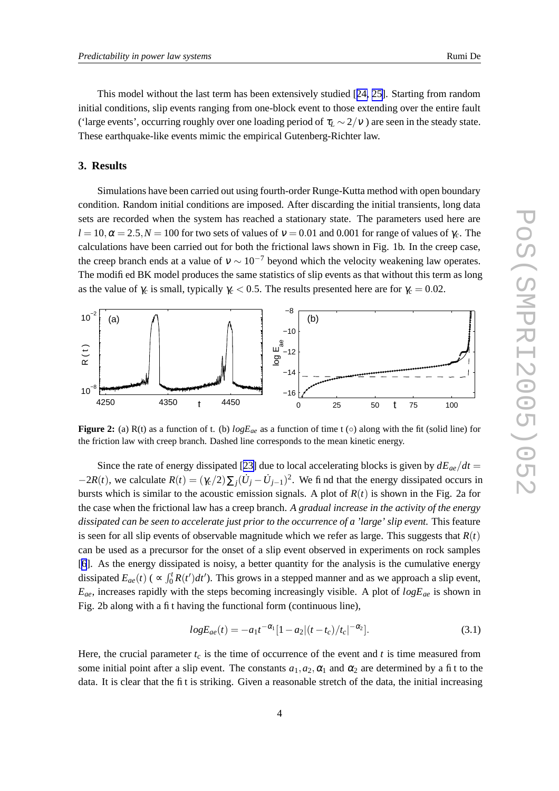#### **3. Results**

Simulations have been carried out using fourth-order Runge-Kutta method with open boundary condition. Random initial conditions are imposed. After discarding the initial transients, long data sets are recorded when the system has reached a stationary state. The parameters used here are  $l = 10$ ,  $\alpha = 2.5$ ,  $N = 100$  for two sets of values of  $v = 0.01$  and 0.001 for range of values of  $\gamma_c$ . The calculations have been carried out for both the frictional laws shown in Fig. 1b. In the creep case, the creep branch ends at a value of  $v \sim 10^{-7}$  beyond which the velocity weakening law operates. The modified BK model produces the same statistics of slip events as that without this term as long as the value of  $\gamma_c$  is small, typically  $\gamma_c < 0.5$ . The results presented here are for  $\gamma_c = 0.02$ .



**Figure 2:** (a) R(t) as a function of t. (b)  $logE_{ae}$  as a function of time t ( $\circ$ ) along with the fit (solid line) for the friction law with creep branch. Dashed line corresponds to the mean kinetic energy.

Since the rate of energy dissipated [[23\]](#page-8-0) due to local accelerating blocks is given by  $dE_{ae}/dt =$  $-2R(t)$ , we calculate  $R(t) = (\gamma_c/2) \sum_j (\dot{U}_j - \dot{U}_{j-1})^2$ . We find that the energy dissipated occurs in bursts which is similar to the acoustic emission signals. A plot of  $R(t)$  is shown in the Fig. 2a for the case when the frictional law has a creep branch. *A gradual increase in the activity of the energy dissipated can be seen to accelerate just prior to the occurrence of a 'large' slip event.* This feature is seen for all slip events of observable magnitude which we refer as large. This suggests that  $R(t)$ can be used as a precursor for the onset of a slip event observed in experiments on rock samples [[6](#page-8-0)]. As the energy dissipated is noisy, a better quantity for the analysis is the cumulative energy dissipated  $E_{ae}(t)$  ( $\propto \int_0^t R(t')dt'$ ). This grows in a stepped manner and as we approach a slip event,  $E_{ae}$ , increases rapidly with the steps becoming increasingly visible. A plot of  $logE_{ae}$  is shown in Fig. 2b along with a fit having the functional form (continuous line),

$$
logE_{ae}(t) = -a_1 t^{-\alpha_1} [1 - a_2 | (t - t_c) / t_c|^{-\alpha_2}].
$$
\n(3.1)

Here, the crucial parameter  $t_c$  is the time of occurrence of the event and  $t$  is time measured from some initial point after a slip event. The constants  $a_1, a_2, \alpha_1$  and  $\alpha_2$  are determined by a fit to the data. It is clear that the fit is striking. Given a reasonable stretch of the data, the initial increasing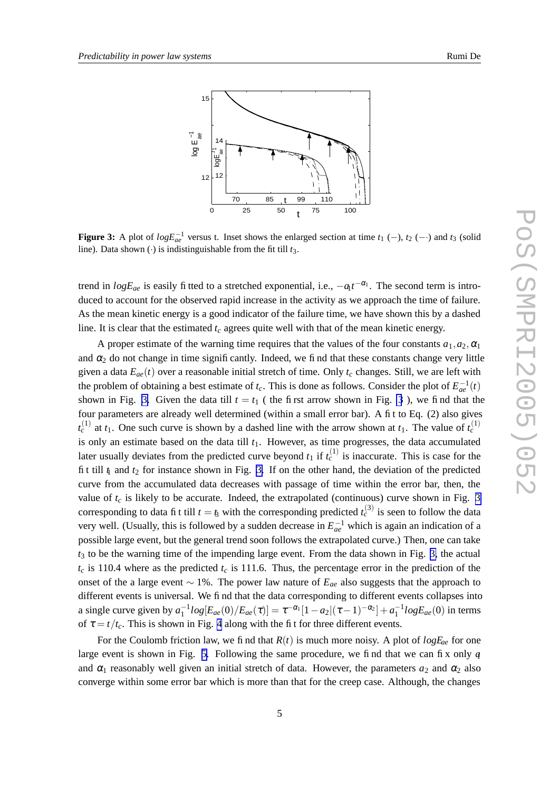

**Figure 3:** A plot of  $logE_{ae}^{-1}$  versus t. Inset shows the enlarged section at time  $t_1$  (−),  $t_2$  (−·) and  $t_3$  (solid line). Data shown  $\left(\cdot\right)$  is indistinguishable from the fit till  $t_3$ .

trend in  $logE_{ae}$  is easily fitted to a stretched exponential, i.e.,  $-a_1t^{-\alpha_1}$ . The second term is introduced to account for the observed rapid increase in the activity as we approach the time of failure. As the mean kinetic energy is a good indicator of the failure time, we have shown this by a dashed line. It is clear that the estimated *t<sup>c</sup>* agrees quite well with that of the mean kinetic energy.

A proper estimate of the warning time requires that the values of the four constants  $a_1, a_2, a_1$ and  $\alpha_2$  do not change in time significantly. Indeed, we find that these constants change very little given a data  $E_{ae}(t)$  over a reasonable initial stretch of time. Only  $t_c$  changes. Still, we are left with the problem of obtaining a best estimate of  $t_c$ . This is done as follows. Consider the plot of  $E_{ae}^{-1}(t)$ shown in Fig. 3. Given the data till  $t = t_1$  (the first arrow shown in Fig. 3), we find that the four parameters are already well determined (within a small error bar). A fit to Eq. (2) also gives  $t_c^{(1)}$  at  $t_1$ . One such curve is shown by a dashed line with the arrow shown at  $t_1$ . The value of  $t_c^{(1)}$ is only an estimate based on the data till *t*1. However, as time progresses, the data accumulated later usually deviates from the predicted curve beyond  $t_1$  if  $t_c^{(1)}$  is inaccurate. This is case for the fit till  $\eta$  and  $t_2$  for instance shown in Fig. 3. If on the other hand, the deviation of the predicted curve from the accumulated data decreases with passage of time within the error bar, then, the value of  $t_c$  is likely to be accurate. Indeed, the extrapolated (continuous) curve shown in Fig. 3 corresponding to data fit till  $t = t_3$  with the corresponding predicted  $t_c^{(3)}$  is seen to follow the data very well. (Usually, this is followed by a sudden decrease in  $E_{ae}^{-1}$  which is again an indication of a possible large event, but the general trend soon follows the extrapolated curve.) Then, one can take *t*<sup>3</sup> to be the warning time of the impending large event. From the data shown in Fig. 3, the actual  $t_c$  is 110.4 where as the predicted  $t_c$  is 111.6. Thus, the percentage error in the prediction of the onset of the a large event ∼ 1%. The power law nature of *Eae* also suggests that the approach to different events is universal. We find that the data corresponding to different events collapses into a single curve given by  $a_1^{-1}log[E_{ae}(0)/E_{ae}(\tau)] = \tau^{-\alpha_1}[1-a_2](\tau-1)^{-\alpha_2}] + a_1^{-1}logE_{ae}(0)$  in terms of  $\tau = t/t_c$ . This is shown in Fig. [4](#page-5-0) along with the fit for three different events.

For the Coulomb friction law, we find that  $R(t)$  is much more noisy. A plot of  $logE_{ae}$  for one large event is shown in Fig. [5.](#page-5-0) Following the same procedure, we find that we can fix only  $\alpha$ and  $\alpha_1$  reasonably well given an initial stretch of data. However, the parameters  $a_2$  and  $\alpha_2$  also converge within some error bar which is more than that for the creep case. Although, the changes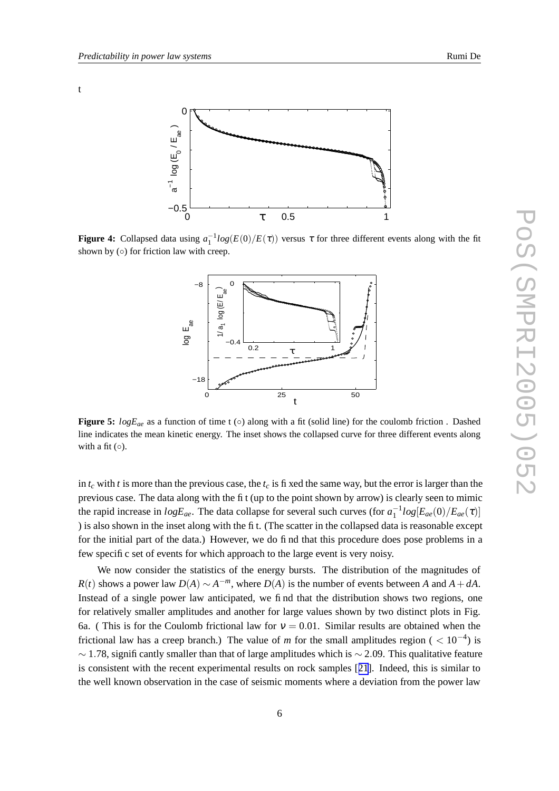<span id="page-5-0"></span>t



**Figure 4:** Collapsed data using  $a_1^{-1}log(E(0)/E(\tau))$  versus  $\tau$  for three different events along with the fit shown by  $( \circ )$  for friction law with creep.



**Figure 5:**  $logE_{ae}$  as a function of time t (◦) along with a fit (solid line) for the coulomb friction . Dashed line indicates the mean kinetic energy. The inset shows the collapsed curve for three different events along with a fit  $(○)$ .

in  $t_c$  with *t* is more than the previous case, the  $t_c$  is fixed the same way, but the error is larger than the previous case. The data along with the fit (up to the point shown by arrow) is clearly seen to mimic the rapid increase in  $logE_{ae}$ . The data collapse for several such curves (for  $a_1^{-1}log[E_{ae}(0)/E_{ae}(\tau)]$ ) is also shown in the inset along with the fit. (The scatter in the collapsed data is reasonable except for the initial part of the data.) However, we do find that this procedure does pose problems in a few specific set of events for which approach to the large event is very noisy.

We now consider the statistics of the energy bursts. The distribution of the magnitudes of *R*(*t*) shows a power law  $D(A) \sim A^{-m}$ , where  $D(A)$  is the number of events between *A* and  $A + dA$ . Instead of a single power law anticipated, we find that the distribution shows two regions, one for relatively smaller amplitudes and another for large values shown by two distinct plots in Fig. 6a. ( This is for the Coulomb frictional law for  $v = 0.01$ . Similar results are obtained when the frictional law has a creep branch.) The value of *m* for the small amplitudes region ( $< 10^{-4}$ ) is  $\sim$  1.78, significantly smaller than that of large amplitudes which is  $\sim$  2.09. This qualitative feature is consistent with the recent experimental results on rock samples [[21](#page-8-0)]. Indeed, this is similar to the well known observation in the case of seismic moments where a deviation from the power law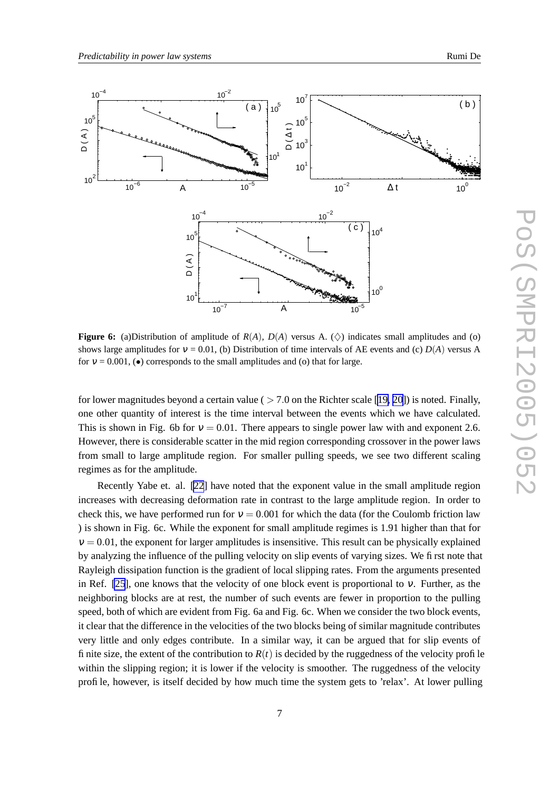

**Figure 6:** (a)Distribution of amplitude of  $R(A)$ ,  $D(A)$  versus A. ( $\diamond$ ) indicates small amplitudes and (o) shows large amplitudes for  $v = 0.01$ , (b) Distribution of time intervals of AE events and (c)  $D(A)$  versus A for  $v = 0.001$ , ( $\bullet$ ) corresponds to the small amplitudes and (o) that for large.

for lower magnitudes beyond a certain value ( $> 7.0$  on the Richter scale [[19,](#page-8-0) [20\]](#page-8-0)) is noted. Finally, one other quantity of interest is the time interval between the events which we have calculated. This is shown in Fig. 6b for  $v = 0.01$ . There appears to single power law with and exponent 2.6. However, there is considerable scatter in the mid region corresponding crossover in the power laws from small to large amplitude region. For smaller pulling speeds, we see two different scaling regimes as for the amplitude.

Recently Yabe et. al. [\[22](#page-8-0)] have noted that the exponent value in the small amplitude region increases with decreasing deformation rate in contrast to the large amplitude region. In order to check this, we have performed run for  $v = 0.001$  for which the data (for the Coulomb friction law ) is shown in Fig. 6c. While the exponent for small amplitude regimes is 1.91 higher than that for  $v = 0.01$ , the exponent for larger amplitudes is insensitive. This result can be physically explained by analyzing the influence of the pulling velocity on slip events of varying sizes. We first note that Rayleigh dissipation function is the gradient of local slipping rates. From the arguments presented in Ref. [\[25](#page-9-0)], one knows that the velocity of one block event is proportional to  $v$ . Further, as the neighboring blocks are at rest, the number of such events are fewer in proportion to the pulling speed, both of which are evident from Fig. 6a and Fig. 6c. When we consider the two block events, it clear that the difference in the velocities of the two blocks being of similar magnitude contributes very little and only edges contribute. In a similar way, it can be argued that for slip events of finite size, the extent of the contribution to  $R(t)$  is decided by the ruggedness of the velocity profile within the slipping region; it is lower if the velocity is smoother. The ruggedness of the velocity profile, however, is itself decided by how much time the system gets to 'relax'. At lower pulling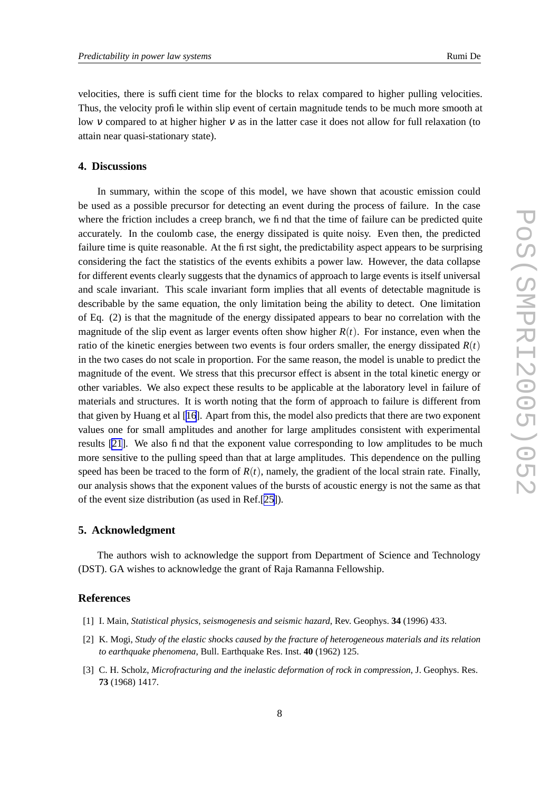<span id="page-7-0"></span>velocities, there is sufficient time for the blocks to relax compared to higher pulling velocities. Thus, the velocity profile within slip event of certain magnitude tends to be much more smooth at low v compared to at higher higher v as in the latter case it does not allow for full relaxation (to attain near quasi-stationary state).

### **4. Discussions**

In summary, within the scope of this model, we have shown that acoustic emission could be used as a possible precursor for detecting an event during the process of failure. In the case where the friction includes a creep branch, we find that the time of failure can be predicted quite accurately. In the coulomb case, the energy dissipated is quite noisy. Even then, the predicted failure time is quite reasonable. At the first sight, the predictability aspect appears to be surprising considering the fact the statistics of the events exhibits a power law. However, the data collapse for different events clearly suggests that the dynamics of approach to large events is itself universal and scale invariant. This scale invariant form implies that all events of detectable magnitude is describable by the same equation, the only limitation being the ability to detect. One limitation of Eq. (2) is that the magnitude of the energy dissipated appears to bear no correlation with the magnitude of the slip event as larger events often show higher  $R(t)$ . For instance, even when the ratio of the kinetic energies between two events is four orders smaller, the energy dissipated  $R(t)$ in the two cases do not scale in proportion. For the same reason, the model is unable to predict the magnitude of the event. We stress that this precursor effect is absent in the total kinetic energy or other variables. We also expect these results to be applicable at the laboratory level in failure of materials and structures. It is worth noting that the form of approach to failure is different from that given by Huang et al [\[16](#page-8-0)]. Apart from this, the model also predicts that there are two exponent values one for small amplitudes and another for large amplitudes consistent with experimental results [\[21](#page-8-0)]. We also find that the exponent value corresponding to low amplitudes to be much more sensitive to the pulling speed than that at large amplitudes. This dependence on the pulling speed has been be traced to the form of  $R(t)$ , namely, the gradient of the local strain rate. Finally, our analysis shows that the exponent values of the bursts of acoustic energy is not the same as that of the event size distribution (as used in Ref.[[25\]](#page-9-0)).

## **5. Acknowledgment**

The authors wish to acknowledge the support from Department of Science and Technology (DST). GA wishes to acknowledge the grant of Raja Ramanna Fellowship.

#### **References**

- [1] I. Main, *Statistical physics, seismogenesis and seismic hazard*, Rev. Geophys. **34** (1996) 433.
- [2] K. Mogi, *Study of the elastic shocks caused by the fracture of heterogeneous materials and its relation to earthquake phenomena*, Bull. Earthquake Res. Inst. **40** (1962) 125.
- [3] C. H. Scholz, *Microfracturing and the inelastic deformation of rock in compression*, J. Geophys. Res. **73** (1968) 1417.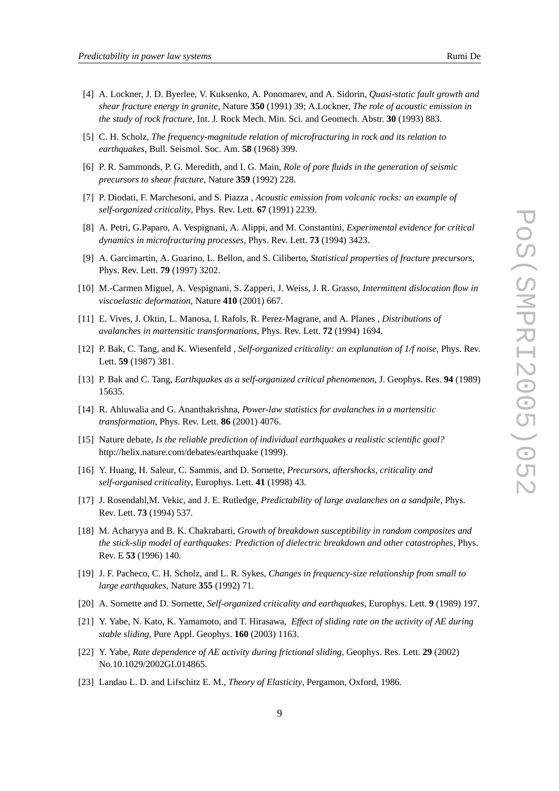- <span id="page-8-0"></span>[4] A. Lockner, J. D. Byerlee, V. Kuksenko, A. Ponomarev, and A. Sidorin, *Quasi-static fault growth and shear fracture energy in granite*, Nature **350** (1991) 39; A.Lockner, *The role of acoustic emission in the study of rock fracture*, Int. J. Rock Mech. Min. Sci. and Geomech. Abstr. **30** (1993) 883.
- [5] C. H. Scholz, *The frequency-magnitude relation of microfracturing in rock and its relation to earthquakes*, Bull. Seismol. Soc. Am. **58** (1968) 399.
- [6] P. R. Sammonds, P. G. Meredith, and I. G. Main, *Role of pore fluids in the generation of seismic precursors to shear fracture*, Nature **359** (1992) 228.
- [7] P. Diodati, F. Marchesoni, and S. Piazza , *Acoustic emission from volcanic rocks: an example of self-organized criticality*, Phys. Rev. Lett. **67** (1991) 2239.
- [8] A. Petri, G.Paparo, A. Vespignani, A. Alippi, and M. Constantini, *Experimental evidence for critical dynamics in microfracturing processes*, Phys. Rev. Lett. **73** (1994) 3423.
- [9] A. Garcimartin, A. Guarino, L. Bellon, and S. Ciliberto, *Statistical properties of fracture precursors*, Phys. Rev. Lett. **79** (1997) 3202.
- [10] M.-Carmen Miguel, A. Vespignani, S. Zapperi, J. Weiss, J. R. Grasso, *Intermittent dislocation flow in viscoelastic deformation*, Nature **410** (2001) 667.
- [11] E. Vives, J. Oktin, L. Manosa, I. Rafols, R. Perez-Magrane, and A. Planes , *Distributions of avalanches in martensitic transformations*, Phys. Rev. Lett. **72** (1994) 1694.
- [12] P. Bak, C. Tang, and K. Wiesenfeld , *Self-organized criticality: an explanation of 1/f noise*, Phys. Rev. Lett. **59** (1987) 381.
- [13] P. Bak and C. Tang, *Earthquakes as a self-organized critical phenomenon*, J. Geophys. Res. **94** (1989) 15635.
- [14] R. Ahluwalia and G. Ananthakrishna, *Power-law statistics for avalanches in a martensitic transformation*, Phys. Rev. Lett. **86** (2001) 4076.
- [15] Nature debate, *Is the reliable prediction of individual earthquakes a realistic scientific goal?* http://helix.nature.com/debates/earthquake (1999).
- [16] Y. Huang, H. Saleur, C. Sammis, and D. Sornette, *Precursors, aftershocks, criticality and self-organised criticality*, Europhys. Lett. **41** (1998) 43.
- [17] J. Rosendahl,M. Vekic, and J. E. Rutledge, *Predictability of large avalanches on a sandpile*, Phys. Rev. Lett. **73** (1994) 537.
- [18] M. Acharyya and B. K. Chakrabarti, *Growth of breakdown susceptibility in random composites and the stick-slip model of earthquakes: Prediction of dielectric breakdown and other catastrophes*, Phys. Rev. E **53** (1996) 140.
- [19] J. F. Pacheco, C. H. Scholz, and L. R. Sykes, *Changes in frequency-size relationship from small to large earthquakes*, Nature **355** (1992) 71.
- [20] A. Sornette and D. Sornette, *Self-organized criticality and earthquakes*, Europhys. Lett. **9** (1989) 197.
- [21] Y. Yabe, N. Kato, K. Yamamoto, and T. Hirasawa, *Effect of sliding rate on the activity of AE during stable sliding*, Pure Appl. Geophys. **160** (2003) 1163.
- [22] Y. Yabe, *Rate dependence of AE activity during frictional sliding*, Geophys. Res. Lett. **29** (2002) No.10.1029/2002GL014865.
- [23] Landau L. D. and Lifschitz E. M., *Theory of Elasticity*, Pergamon, Oxford, 1986.